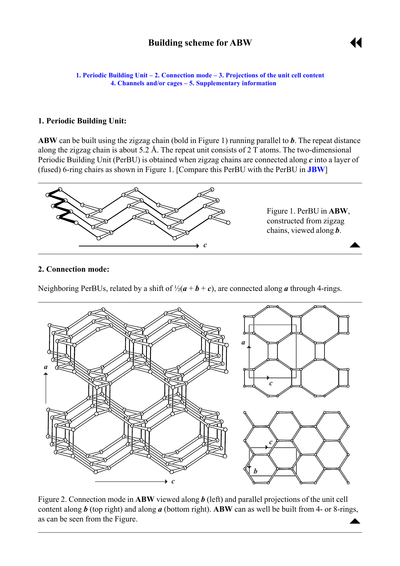<span id="page-0-0"></span>**1. Periodic Building Unit – 2. Connection mode – [3. Projections of the unit cell](#page-1-0) content [4. Channels and/or cages](#page-1-0) ñ [5. Supplementary information](#page-1-0)**

## **1. Periodic Building Unit:**

**ABW** can be built using the zigzag chain (bold in Figure 1) running parallel to *b*. The repeat distance along the zigzag chain is about 5.2 Å. The repeat unit consists of 2 T atoms. The two-dimensional Periodic Building Unit (PerBU) is obtained when zigzag chains are connected along *c* into a layer of (fused) 6-ring chairs as shown in Figure 1. [Compare this PerBU with the PerBU in **[JBW](http://www.iza-structure.org/databases/ModelBuilding/JBW.pdf)**]



## **2. Connection mode:**

Neighboring PerBUs, related by a shift of  $\frac{1}{2}(a + b + c)$ , are connected along *a* through 4-rings.



 $\triangle$ Figure 2. Connection mode in **ABW** viewed along *b* (left) and parallel projections of the unit cell content along *b* (top right) and along *a* (bottom right). **ABW** can as well be built from 4- or 8-rings, as can be seen from the Figure.

 $\mathcal{L}_\mathcal{L} = \{ \mathcal{L}_\mathcal{L} = \{ \mathcal{L}_\mathcal{L} = \{ \mathcal{L}_\mathcal{L} = \{ \mathcal{L}_\mathcal{L} = \{ \mathcal{L}_\mathcal{L} = \{ \mathcal{L}_\mathcal{L} = \{ \mathcal{L}_\mathcal{L} = \{ \mathcal{L}_\mathcal{L} = \{ \mathcal{L}_\mathcal{L} = \{ \mathcal{L}_\mathcal{L} = \{ \mathcal{L}_\mathcal{L} = \{ \mathcal{L}_\mathcal{L} = \{ \mathcal{L}_\mathcal{L} = \{ \mathcal{L}_\mathcal{$